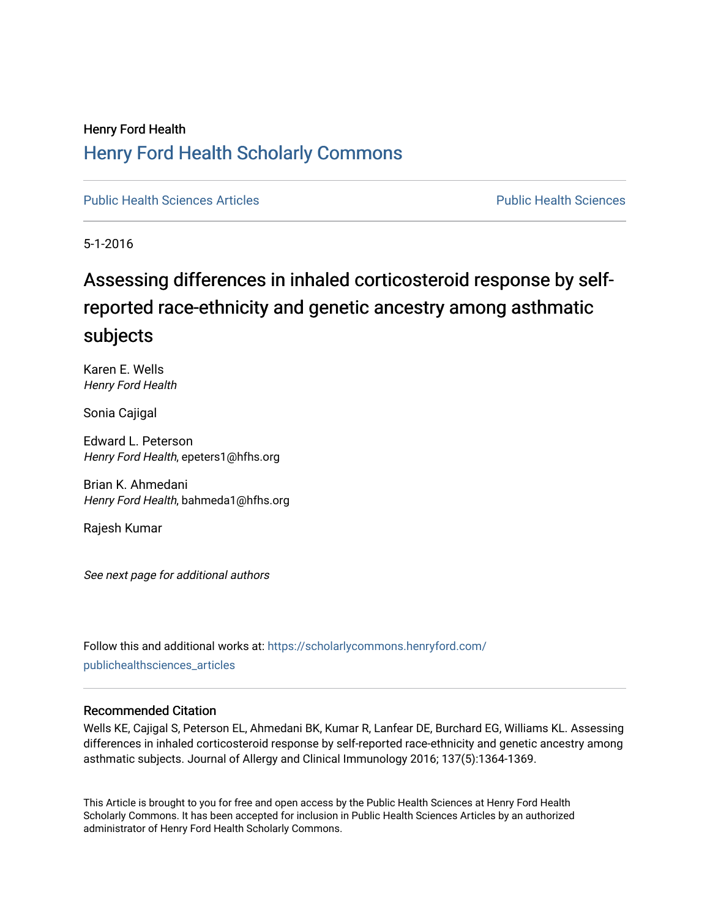# Henry Ford Health [Henry Ford Health Scholarly Commons](https://scholarlycommons.henryford.com/)

[Public Health Sciences Articles](https://scholarlycommons.henryford.com/publichealthsciences_articles) [Public Health Sciences](https://scholarlycommons.henryford.com/publichealthsciences) 

5-1-2016

# Assessing differences in inhaled corticosteroid response by selfreported race-ethnicity and genetic ancestry among asthmatic subjects

Karen E. Wells Henry Ford Health

Sonia Cajigal

Edward L. Peterson Henry Ford Health, epeters1@hfhs.org

Brian K. Ahmedani Henry Ford Health, bahmeda1@hfhs.org

Rajesh Kumar

See next page for additional authors

Follow this and additional works at: [https://scholarlycommons.henryford.com/](https://scholarlycommons.henryford.com/publichealthsciences_articles?utm_source=scholarlycommons.henryford.com%2Fpublichealthsciences_articles%2F311&utm_medium=PDF&utm_campaign=PDFCoverPages) [publichealthsciences\\_articles](https://scholarlycommons.henryford.com/publichealthsciences_articles?utm_source=scholarlycommons.henryford.com%2Fpublichealthsciences_articles%2F311&utm_medium=PDF&utm_campaign=PDFCoverPages) 

## Recommended Citation

Wells KE, Cajigal S, Peterson EL, Ahmedani BK, Kumar R, Lanfear DE, Burchard EG, Williams KL. Assessing differences in inhaled corticosteroid response by self-reported race-ethnicity and genetic ancestry among asthmatic subjects. Journal of Allergy and Clinical Immunology 2016; 137(5):1364-1369.

This Article is brought to you for free and open access by the Public Health Sciences at Henry Ford Health Scholarly Commons. It has been accepted for inclusion in Public Health Sciences Articles by an authorized administrator of Henry Ford Health Scholarly Commons.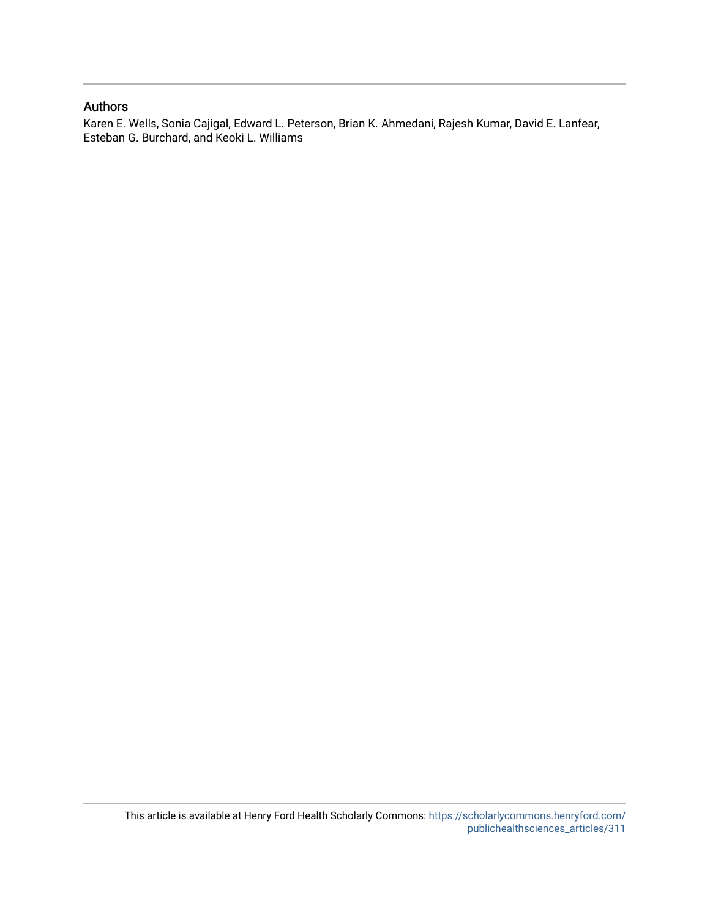## Authors

Karen E. Wells, Sonia Cajigal, Edward L. Peterson, Brian K. Ahmedani, Rajesh Kumar, David E. Lanfear, Esteban G. Burchard, and Keoki L. Williams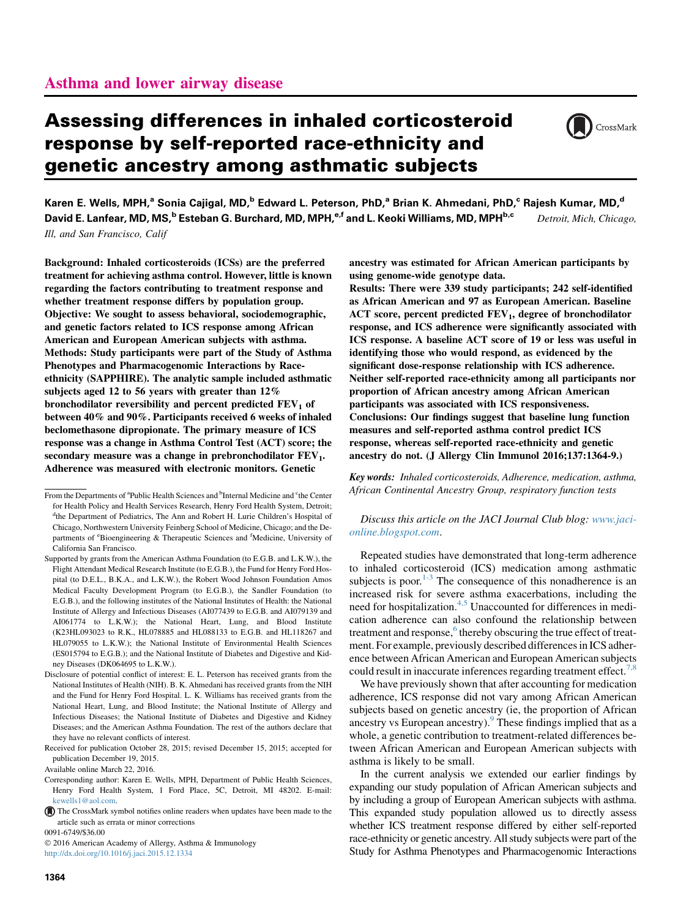# Assessing differences in inhaled corticosteroid response by self-reported race-ethnicity and genetic ancestry among asthmatic subjects



Karen E. Wells, MPH,<sup>a</sup> Sonia Cajigal, MD,<sup>b</sup> Edward L. Peterson, PhD,<sup>a</sup> Brian K. Ahmedani, PhD,<sup>c</sup> Rajesh Kumar, MD,<sup>d</sup> David E. Lanfear, MD, MS,<sup>b</sup> Esteban G. Burchard, MD, MPH,<sup>e,f</sup> and L. Keoki Williams, MD, MPH<sup>b,c</sup> Detroit, Mich, Chicago, Ill, and San Francisco, Calif

Background: Inhaled corticosteroids (ICSs) are the preferred treatment for achieving asthma control. However, little is known regarding the factors contributing to treatment response and whether treatment response differs by population group. Objective: We sought to assess behavioral, sociodemographic, and genetic factors related to ICS response among African American and European American subjects with asthma. Methods: Study participants were part of the Study of Asthma Phenotypes and Pharmacogenomic Interactions by Raceethnicity (SAPPHIRE). The analytic sample included asthmatic subjects aged 12 to 56 years with greater than 12% bronchodilator reversibility and percent predicted  $FEV<sub>1</sub>$  of between 40% and 90%. Participants received 6 weeks of inhaled beclomethasone dipropionate. The primary measure of ICS response was a change in Asthma Control Test (ACT) score; the secondary measure was a change in prebronchodilator  $FEV_1$ . Adherence was measured with electronic monitors. Genetic

0091-6749/\$36.00

 2016 American Academy of Allergy, Asthma & Immunology <http://dx.doi.org/10.1016/j.jaci.2015.12.1334>

ancestry was estimated for African American participants by using genome-wide genotype data.

Results: There were 339 study participants; 242 self-identified as African American and 97 as European American. Baseline  $ACT$  score, percent predicted  $FEV<sub>1</sub>$ , degree of bronchodilator response, and ICS adherence were significantly associated with ICS response. A baseline ACT score of 19 or less was useful in identifying those who would respond, as evidenced by the significant dose-response relationship with ICS adherence. Neither self-reported race-ethnicity among all participants nor proportion of African ancestry among African American participants was associated with ICS responsiveness. Conclusions: Our findings suggest that baseline lung function measures and self-reported asthma control predict ICS response, whereas self-reported race-ethnicity and genetic ancestry do not. (J Allergy Clin Immunol 2016;137:1364-9.)

Key words: Inhaled corticosteroids, Adherence, medication, asthma, African Continental Ancestry Group, respiratory function tests

#### Discuss this article on the JACI Journal Club blog: [www.jaci](http://www.jaci-online.blogspot.com)[online.blogspot.com](http://www.jaci-online.blogspot.com).

Repeated studies have demonstrated that long-term adherence to inhaled corticosteroid (ICS) medication among asthmatic subjects is poor.<sup>[1-3](#page-7-0)</sup> The consequence of this nonadherence is an increased risk for severe asthma exacerbations, including the need for hospitalization.<sup>[4,5](#page-7-0)</sup> Unaccounted for differences in medication adherence can also confound the relationship between treatment and response,<sup>6</sup> thereby obscuring the true effect of treatment. For example, previously described differences in ICS adherence between African American and European American subjects could result in inaccurate inferences regarding treatment effect.<sup>[7,8](#page-7-0)</sup>

We have previously shown that after accounting for medication adherence, ICS response did not vary among African American subjects based on genetic ancestry (ie, the proportion of African ancestry vs European ancestry).<sup>[9](#page-7-0)</sup> These findings implied that as a whole, a genetic contribution to treatment-related differences between African American and European American subjects with asthma is likely to be small.

In the current analysis we extended our earlier findings by expanding our study population of African American subjects and by including a group of European American subjects with asthma. This expanded study population allowed us to directly assess whether ICS treatment response differed by either self-reported race-ethnicity or genetic ancestry. All study subjects were part of the Study for Asthma Phenotypes and Pharmacogenomic Interactions

From the Departments of <sup>a</sup>Public Health Sciences and <sup>b</sup>Internal Medicine and <sup>c</sup>the Center for Health Policy and Health Services Research, Henry Ford Health System, Detroit; <sup>d</sup>the Department of Pediatrics, The Ann and Robert H. Lurie Children's Hospital of Chicago, Northwestern University Feinberg School of Medicine, Chicago; and the Departments of <sup>e</sup>Bioengineering & Therapeutic Sciences and <sup>f</sup>Medicine, University of California San Francisco.

Supported by grants from the American Asthma Foundation (to E.G.B. and L.K.W.), the Flight Attendant Medical Research Institute (to E.G.B.), the Fund for Henry Ford Hospital (to D.E.L., B.K.A., and L.K.W.), the Robert Wood Johnson Foundation Amos Medical Faculty Development Program (to E.G.B.), the Sandler Foundation (to E.G.B.), and the following institutes of the National Institutes of Health: the National Institute of Allergy and Infectious Diseases (AI077439 to E.G.B. and AI079139 and AI061774 to L.K.W.); the National Heart, Lung, and Blood Institute (K23HL093023 to R.K., HL078885 and HL088133 to E.G.B. and HL118267 and HL079055 to L.K.W.); the National Institute of Environmental Health Sciences (ES015794 to E.G.B.); and the National Institute of Diabetes and Digestive and Kidney Diseases (DK064695 to L.K.W.).

Disclosure of potential conflict of interest: E. L. Peterson has received grants from the National Institutes of Health (NIH). B. K. Ahmedani has received grants from the NIH and the Fund for Henry Ford Hospital. L. K. Williams has received grants from the National Heart, Lung, and Blood Institute; the National Institute of Allergy and Infectious Diseases; the National Institute of Diabetes and Digestive and Kidney Diseases; and the American Asthma Foundation. The rest of the authors declare that they have no relevant conflicts of interest.

Received for publication October 28, 2015; revised December 15, 2015; accepted for publication December 19, 2015.

Available online March 22, 2016.

Corresponding author: Karen E. Wells, MPH, Department of Public Health Sciences, Henry Ford Health System, 1 Ford Place, 5C, Detroit, MI 48202. E-mail: [kewells1@aol.com.](mailto:kewells1@aol.com)

The CrossMark symbol notifies online readers when updates have been made to the article such as errata or minor corrections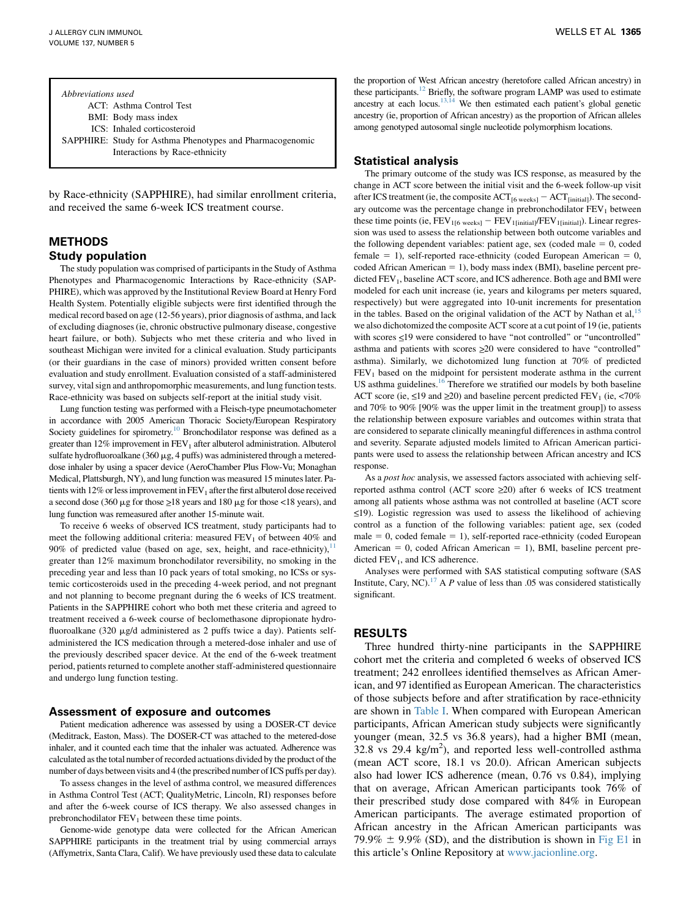Abbreviations used ACT: Asthma Control Test BMI: Body mass index ICS: Inhaled corticosteroid SAPPHIRE: Study for Asthma Phenotypes and Pharmacogenomic Interactions by Race-ethnicity

by Race-ethnicity (SAPPHIRE), had similar enrollment criteria, and received the same 6-week ICS treatment course.

### METHODS Study population

The study population was comprised of participants in the Study of Asthma Phenotypes and Pharmacogenomic Interactions by Race-ethnicity (SAP-PHIRE), which was approved by the Institutional Review Board at Henry Ford Health System. Potentially eligible subjects were first identified through the medical record based on age (12-56 years), prior diagnosis of asthma, and lack of excluding diagnoses (ie, chronic obstructive pulmonary disease, congestive heart failure, or both). Subjects who met these criteria and who lived in southeast Michigan were invited for a clinical evaluation. Study participants (or their guardians in the case of minors) provided written consent before evaluation and study enrollment. Evaluation consisted of a staff-administered survey, vital sign and anthropomorphic measurements, and lung function tests. Race-ethnicity was based on subjects self-report at the initial study visit.

Lung function testing was performed with a Fleisch-type pneumotachometer in accordance with 2005 American Thoracic Society/European Respiratory Society guidelines for spirometry.<sup>[10](#page-7-0)</sup> Bronchodilator response was defined as a greater than  $12\%$  improvement in  $FEV<sub>1</sub>$  after albuterol administration. Albuterol sulfate hydrofluoroalkane (360  $\mu$ g, 4 puffs) was administered through a metereddose inhaler by using a spacer device (AeroChamber Plus Flow-Vu; Monaghan Medical, Plattsburgh, NY), and lung function was measured 15 minutes later. Patients with 12% or less improvement in  $FEV<sub>1</sub>$  after the first albuterol dose received a second dose (360  $\mu$ g for those  $\geq$ 18 years and 180  $\mu$ g for those <18 years), and lung function was remeasured after another 15-minute wait.

To receive 6 weeks of observed ICS treatment, study participants had to meet the following additional criteria: measured  $FEV<sub>1</sub>$  of between 40% and 90% of predicted value (based on age, sex, height, and race-ethnicity), $11$ greater than 12% maximum bronchodilator reversibility, no smoking in the preceding year and less than 10 pack years of total smoking, no ICSs or systemic corticosteroids used in the preceding 4-week period, and not pregnant and not planning to become pregnant during the 6 weeks of ICS treatment. Patients in the SAPPHIRE cohort who both met these criteria and agreed to treatment received a 6-week course of beclomethasone dipropionate hydrofluoroalkane (320 µg/d administered as 2 puffs twice a day). Patients selfadministered the ICS medication through a metered-dose inhaler and use of the previously described spacer device. At the end of the 6-week treatment period, patients returned to complete another staff-administered questionnaire and undergo lung function testing.

#### Assessment of exposure and outcomes

Patient medication adherence was assessed by using a DOSER-CT device (Meditrack, Easton, Mass). The DOSER-CT was attached to the metered-dose inhaler, and it counted each time that the inhaler was actuated. Adherence was calculated as the total number of recorded actuations divided by the product of the number of days between visits and 4 (the prescribed number of ICS puffs per day).

To assess changes in the level of asthma control, we measured differences in Asthma Control Test (ACT; QualityMetric, Lincoln, RI) responses before and after the 6-week course of ICS therapy. We also assessed changes in prebronchodilator FEV<sub>1</sub> between these time points.

Genome-wide genotype data were collected for the African American SAPPHIRE participants in the treatment trial by using commercial arrays (Affymetrix, Santa Clara, Calif). We have previously used these data to calculate

the proportion of West African ancestry (heretofore called African ancestry) in these participants.<sup>12</sup> Briefly, the software program LAMP was used to estimate ancestry at each locus.<sup>13,14</sup> We then estimated each patient's global genetic ancestry (ie, proportion of African ancestry) as the proportion of African alleles among genotyped autosomal single nucleotide polymorphism locations.

#### Statistical analysis

The primary outcome of the study was ICS response, as measured by the change in ACT score between the initial visit and the 6-week follow-up visit after ICS treatment (ie, the composite  $ACT_{[6 \text{ weeks}]} - ACT_{[initial]}$ ). The secondary outcome was the percentage change in prebronchodilator  $FEV<sub>1</sub>$  between these time points (ie,  $FEV_{1[6 \text{ weeks}]} - FEV_{1[\text{initial}]}/FEV_{1[\text{initial}]}$ ). Linear regression was used to assess the relationship between both outcome variables and the following dependent variables: patient age, sex (coded male  $= 0$ , coded female  $= 1$ ), self-reported race-ethnicity (coded European American  $= 0$ , coded African American  $= 1$ ), body mass index (BMI), baseline percent predicted FEV<sub>1</sub>, baseline ACT score, and ICS adherence. Both age and BMI were modeled for each unit increase (ie, years and kilograms per meters squared, respectively) but were aggregated into 10-unit increments for presentation in the tables. Based on the original validation of the ACT by Nathan et al, $15$ we also dichotomized the composite ACT score at a cut point of 19 (ie, patients with scores  $\leq$ 19 were considered to have "not controlled" or "uncontrolled" asthma and patients with scores  $\geq 20$  were considered to have "controlled" asthma). Similarly, we dichotomized lung function at 70% of predicted  $FEV<sub>1</sub>$  based on the midpoint for persistent moderate asthma in the current US asthma guidelines. $16$  Therefore we stratified our models by both baseline ACT score (ie,  $\leq$ 19 and  $\geq$ 20) and baseline percent predicted FEV<sub>1</sub> (ie, <70%) and 70% to 90% [90% was the upper limit in the treatment group]) to assess the relationship between exposure variables and outcomes within strata that are considered to separate clinically meaningful differences in asthma control and severity. Separate adjusted models limited to African American participants were used to assess the relationship between African ancestry and ICS response.

As a post hoc analysis, we assessed factors associated with achieving selfreported asthma control (ACT score  $\geq 20$ ) after 6 weeks of ICS treatment among all patients whose asthma was not controlled at baseline (ACT score <\_19). Logistic regression was used to assess the likelihood of achieving control as a function of the following variables: patient age, sex (coded male  $= 0$ , coded female  $= 1$ ), self-reported race-ethnicity (coded European American  $= 0$ , coded African American  $= 1$ ), BMI, baseline percent predicted  $FEV<sub>1</sub>$ , and ICS adherence.

Analyses were performed with SAS statistical computing software (SAS Institute, Cary, NC).<sup>[17](#page-7-0)</sup> A P value of less than .05 was considered statistically significant.

#### RESULTS

Three hundred thirty-nine participants in the SAPPHIRE cohort met the criteria and completed 6 weeks of observed ICS treatment; 242 enrollees identified themselves as African American, and 97 identified as European American. The characteristics of those subjects before and after stratification by race-ethnicity are shown in [Table I](#page-4-0). When compared with European American participants, African American study subjects were significantly younger (mean, 32.5 vs 36.8 years), had a higher BMI (mean,  $32.8$  vs 29.4 kg/m<sup>2</sup>), and reported less well-controlled asthma (mean ACT score, 18.1 vs 20.0). African American subjects also had lower ICS adherence (mean, 0.76 vs 0.84), implying that on average, African American participants took 76% of their prescribed study dose compared with 84% in European American participants. The average estimated proportion of African ancestry in the African American participants was 79.9%  $\pm$  9.9% (SD), and the distribution is shown in [Fig E1](#page-8-0) in this article's Online Repository at [www.jacionline.org](http://www.jacionline.org).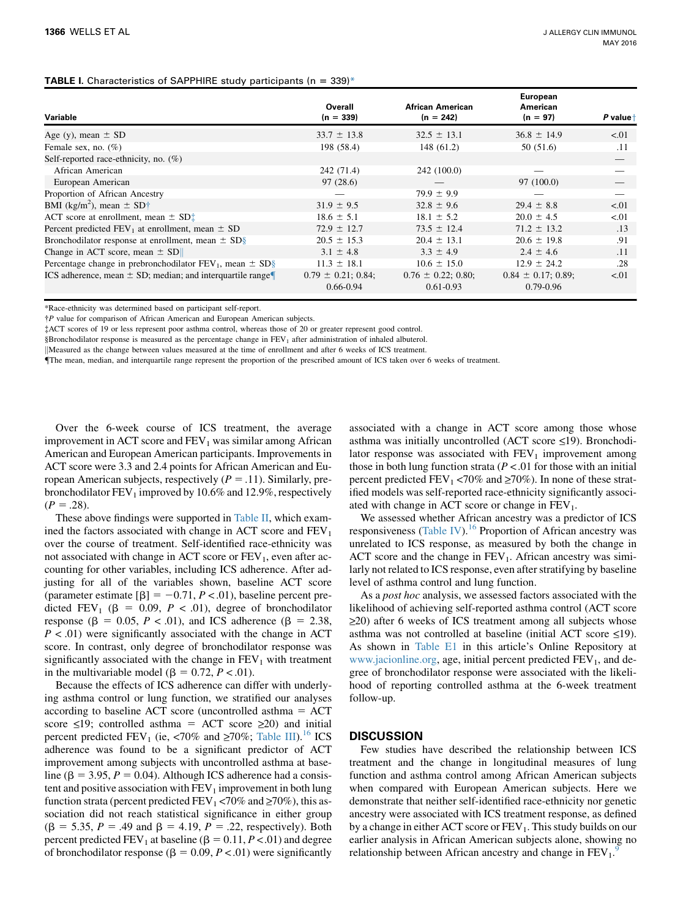#### <span id="page-4-0"></span>**TABLE I.** Characteristics of SAPPHIRE study participants ( $n = 339$ )\*

| Variable                                                         | Overall<br>$(n = 339)$                   | African American<br>$(n = 242)$          | <b>European</b><br>American<br>$(n = 97)$ | P valuet |
|------------------------------------------------------------------|------------------------------------------|------------------------------------------|-------------------------------------------|----------|
| Age (y), mean $\pm$ SD                                           | $33.7 \pm 13.8$                          | $32.5 \pm 13.1$                          | $36.8 \pm 14.9$                           | < 01     |
| Female sex, no. $(\%)$                                           | 198 (58.4)                               | 148 (61.2)                               | 50(51.6)                                  | .11      |
| Self-reported race-ethnicity, no. $(\%)$                         |                                          |                                          |                                           |          |
| African American                                                 | 242 (71.4)                               | 242 (100.0)                              |                                           |          |
| European American                                                | 97(28.6)                                 |                                          | 97 (100.0)                                |          |
| Proportion of African Ancestry                                   |                                          | $79.9 \pm 9.9$                           |                                           |          |
| BMI (kg/m <sup>2</sup> ), mean $\pm$ SD <sup>+</sup>             | $31.9 \pm 9.5$                           | $32.8 \pm 9.6$                           | $29.4 \pm 8.8$                            | < 01     |
| ACT score at enrollment, mean $\pm$ SD $\pm$                     | $18.6 \pm 5.1$                           | $18.1 \pm 5.2$                           | $20.0 \pm 4.5$                            | < 01     |
| Percent predicted $FEV_1$ at enrollment, mean $\pm$ SD           | $72.9 \pm 12.7$                          | $73.5 \pm 12.4$                          | $71.2 \pm 13.2$                           | .13      |
| Bronchodilator response at enrollment, mean $\pm$ SD§            | $20.5 \pm 15.3$                          | $20.4 \pm 13.1$                          | $20.6 \pm 19.8$                           | .91      |
| Change in ACT score, mean $\pm$ SD                               | $3.1 \pm 4.8$                            | $3.3 \pm 4.9$                            | $2.4 \pm 4.6$                             | .11      |
| Percentage change in prebronchodilator $FEV_1$ , mean $\pm SD\S$ | $11.3 \pm 18.1$                          | $10.6 \pm 15.0$                          | $12.9 \pm 24.2$                           | .28      |
| ICS adherence, mean $\pm$ SD; median; and interquartile range    | $0.79 \pm 0.21$ ; 0.84;<br>$0.66 - 0.94$ | $0.76 \pm 0.22$ ; 0.80;<br>$0.61 - 0.93$ | $0.84 \pm 0.17$ ; 0.89;<br>$0.79 - 0.96$  | < 01     |

\*Race-ethnicity was determined based on participant self-report.

P value for comparison of African American and European American subjects.

ACT scores of 19 or less represent poor asthma control, whereas those of 20 or greater represent good control.

§Bronchodilator response is measured as the percentage change in FEV<sub>1</sub> after administration of inhaled albuterol.

kMeasured as the change between values measured at the time of enrollment and after 6 weeks of ICS treatment.

{The mean, median, and interquartile range represent the proportion of the prescribed amount of ICS taken over 6 weeks of treatment.

Over the 6-week course of ICS treatment, the average improvement in ACT score and  $FEV<sub>1</sub>$  was similar among African American and European American participants. Improvements in ACT score were 3.3 and 2.4 points for African American and European American subjects, respectively ( $P = .11$ ). Similarly, prebronchodilator  $FEV_1$  improved by 10.6% and 12.9%, respectively  $(P = .28)$ .

These above findings were supported in [Table II](#page-5-0), which examined the factors associated with change in ACT score and  $FEV<sub>1</sub>$ over the course of treatment. Self-identified race-ethnicity was not associated with change in ACT score or  $FEV<sub>1</sub>$ , even after accounting for other variables, including ICS adherence. After adjusting for all of the variables shown, baseline ACT score (parameter estimate  $[\beta] = -0.71, P < .01$ ), baseline percent predicted FEV<sub>1</sub> ( $\beta = 0.09$ ,  $P < .01$ ), degree of bronchodilator response ( $\beta = 0.05$ ,  $P < .01$ ), and ICS adherence ( $\beta = 2.38$ ,  $P < .01$ ) were significantly associated with the change in ACT score. In contrast, only degree of bronchodilator response was significantly associated with the change in  $FEV<sub>1</sub>$  with treatment in the multivariable model ( $\beta = 0.72, P < 0.01$ ).

Because the effects of ICS adherence can differ with underlying asthma control or lung function, we stratified our analyses according to baseline ACT score (uncontrolled asthma  $=$  ACT score  $\leq$ 19; controlled asthma = ACT score  $\geq$ 20) and initial percent predicted FEV<sub>1</sub> (ie, <70% and  $\geq$ 70%; [Table III\)](#page-5-0).<sup>16</sup> ICS adherence was found to be a significant predictor of ACT improvement among subjects with uncontrolled asthma at baseline ( $\beta = 3.95$ ,  $P = 0.04$ ). Although ICS adherence had a consistent and positive association with  $FEV<sub>1</sub>$  improvement in both lung function strata (percent predicted  $FEV_1 < 70\%$  and  $\geq 70\%$ ), this association did not reach statistical significance in either group  $(\beta = 5.35, P = .49 \text{ and } \beta = 4.19, P = .22, \text{ respectively}).$  Both percent predicted  $FEV_1$  at baseline ( $\beta = 0.11, P < .01$ ) and degree of bronchodilator response ( $\beta = 0.09, P < 0.01$ ) were significantly

associated with a change in ACT score among those whose asthma was initially uncontrolled (ACT score  $\leq$ 19). Bronchodilator response was associated with  $FEV<sub>1</sub>$  improvement among those in both lung function strata ( $P < 01$  for those with an initial percent predicted  $FEV_1 < 70\%$  and  $\geq 70\%$ ). In none of these stratified models was self-reported race-ethnicity significantly associated with change in ACT score or change in  $FEV<sub>1</sub>$ .

We assessed whether African ancestry was a predictor of ICS responsiveness [\(Table IV\)](#page-6-0).<sup>[16](#page-7-0)</sup> Proportion of African ancestry was unrelated to ICS response, as measured by both the change in ACT score and the change in  $FEV<sub>1</sub>$ . African ancestry was similarly not related to ICS response, even after stratifying by baseline level of asthma control and lung function.

As a *post hoc* analysis, we assessed factors associated with the likelihood of achieving self-reported asthma control (ACT score  $\geq$ 20) after 6 weeks of ICS treatment among all subjects whose asthma was not controlled at baseline (initial ACT score  $\leq$ 19). As shown in [Table E1](#page-9-0) in this article's Online Repository at [www.jacionline.org,](http://www.jacionline.org) age, initial percent predicted  $FEV<sub>1</sub>$ , and degree of bronchodilator response were associated with the likelihood of reporting controlled asthma at the 6-week treatment follow-up.

#### **DISCUSSION**

Few studies have described the relationship between ICS treatment and the change in longitudinal measures of lung function and asthma control among African American subjects when compared with European American subjects. Here we demonstrate that neither self-identified race-ethnicity nor genetic ancestry were associated with ICS treatment response, as defined by a change in either ACT score or  $FEV<sub>1</sub>$ . This study builds on our earlier analysis in African American subjects alone, showing no relationship between African ancestry and change in  $FEV_1$ .<sup>[9](#page-7-0)</sup>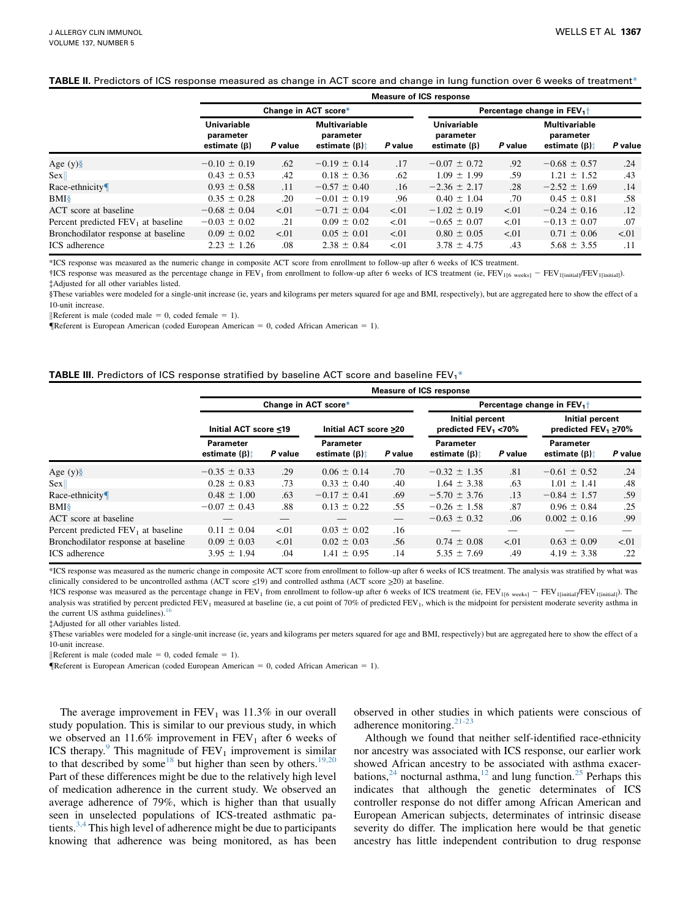#### <span id="page-5-0"></span>TABLE II. Predictors of ICS response measured as change in ACT score and change in lung function over 6 weeks of treatment\*

|                                       | <b>Measure of ICS response</b>                 |         |                                                           |         |                                                       |                                |                                                           |         |  |  |  |  |
|---------------------------------------|------------------------------------------------|---------|-----------------------------------------------------------|---------|-------------------------------------------------------|--------------------------------|-----------------------------------------------------------|---------|--|--|--|--|
|                                       |                                                |         | Change in ACT score*                                      |         |                                                       | Percentage change in $FEV_1$ + |                                                           |         |  |  |  |  |
|                                       | Univariable<br>parameter<br>estimate $(\beta)$ | P value | <b>Multivariable</b><br>parameter<br>estimate $(\beta)$ : | P value | <b>Univariable</b><br>parameter<br>estimate $(\beta)$ | P value                        | <b>Multivariable</b><br>parameter<br>estimate $(\beta)$ : | P value |  |  |  |  |
| Age $(y)$ §                           | $-0.10 \pm 0.19$                               | .62     | $-0.19 \pm 0.14$                                          | .17     | $-0.07 \pm 0.72$                                      | .92                            | $-0.68 \pm 0.57$                                          | .24     |  |  |  |  |
| <b>Sex</b>                            | $0.43 \pm 0.53$                                | .42     | $0.18 \pm 0.36$                                           | .62     | $1.09 \pm 1.99$                                       | .59                            | $1.21 \pm 1.52$                                           | .43     |  |  |  |  |
| Race-ethnicity $\P$                   | $0.93 \pm 0.58$                                | .11     | $-0.57 \pm 0.40$                                          | .16     | $-2.36 \pm 2.17$                                      | .28                            | $-2.52 \pm 1.69$                                          | .14     |  |  |  |  |
| BMI                                   | $0.35 \pm 0.28$                                | .20     | $-0.01 \pm 0.19$                                          | .96     | $0.40 \pm 1.04$                                       | .70                            | $0.45 \pm 0.81$                                           | .58     |  |  |  |  |
| ACT score at baseline                 | $-0.68 \pm 0.04$                               | < 01    | $-0.71 \pm 0.04$                                          | < 01    | $-1.02 \pm 0.19$                                      | < 01                           | $-0.24 \pm 0.16$                                          | .12     |  |  |  |  |
| Percent predicted $FEV_1$ at baseline | $-0.03 \pm 0.02$                               | .21     | $0.09 \pm 0.02$                                           | < 01    | $-0.65 \pm 0.07$                                      | < 0.01                         | $-0.13 \pm 0.07$                                          | .07     |  |  |  |  |
| Bronchodilator response at baseline   | $0.09 \pm 0.02$                                | < 01    | $0.05 \pm 0.01$                                           | < 01    | $0.80 \pm 0.05$                                       | < 01                           | $0.71 \pm 0.06$                                           | < 0.01  |  |  |  |  |
| ICS adherence                         | $2.23 \pm 1.26$                                | .08     | $2.38 \pm 0.84$                                           | < 01    | $3.78 \pm 4.75$                                       | .43                            | $5.68 \pm 3.55$                                           | .11     |  |  |  |  |

\*ICS response was measured as the numeric change in composite ACT score from enrollment to follow-up after 6 weeks of ICS treatment.

<sup>†</sup>ICS response was measured as the percentage change in FEV<sub>1</sub> from enrollment to follow-up after 6 weeks of ICS treatment (ie, FEV<sub>1[6 weeks]</sub> - FEV<sub>1[initial]</sub>). Adjusted for all other variables listed.

§These variables were modeled for a single-unit increase (ie, years and kilograms per meters squared for age and BMI, respectively), but are aggregated here to show the effect of a 10-unit increase.

Referent is male (coded male  $= 0$ , coded female  $= 1$ ).

**FReferent is European American (coded European American = 0, coded African American = 1).** 

#### **TABLE III.** Predictors of ICS response stratified by baseline ACT score and baseline FEV<sub>1</sub>\*

|                                      | <b>Measure of ICS response</b>                         |         |                                   |         |                                           |         |                                                |         |  |  |  |
|--------------------------------------|--------------------------------------------------------|---------|-----------------------------------|---------|-------------------------------------------|---------|------------------------------------------------|---------|--|--|--|
|                                      | Change in ACT score*<br>Percentage change in $FEV_1$ + |         |                                   |         |                                           |         |                                                |         |  |  |  |
|                                      | Initial ACT score ≤19                                  |         | Initial ACT score ≥20             |         | Initial percent<br>predicted $FEV_1$ <70% |         | Initial percent<br>predicted $FEV_1 \geq 70\%$ |         |  |  |  |
|                                      | Parameter<br>estimate $(\beta)$ :                      | P value | Parameter<br>estimate $(\beta)$ : | P value | Parameter<br>estimate $(\beta)$ :         | P value | Parameter<br>estimate $(\beta)$ :              | P value |  |  |  |
| Age $(y)\$                           | $-0.35 \pm 0.33$                                       | .29     | $0.06 \pm 0.14$                   | .70     | $-0.32 \pm 1.35$                          | .81     | $-0.61 \pm 0.52$                               | .24     |  |  |  |
| Sex                                  | $0.28 \pm 0.83$                                        | .73     | $0.33 \pm 0.40$                   | .40     | $1.64 \pm 3.38$                           | .63     | $1.01 \pm 1.41$                                | .48     |  |  |  |
| Race-ethnicity                       | $0.48 \pm 1.00$                                        | .63     | $-0.17 \pm 0.41$                  | .69     | $-5.70 \pm 3.76$                          | .13     | $-0.84 \pm 1.57$                               | .59     |  |  |  |
| BMI                                  | $-0.07 \pm 0.43$                                       | .88     | $0.13 \pm 0.22$                   | .55     | $-0.26 \pm 1.58$                          | .87     | $0.96 \pm 0.84$                                | .25     |  |  |  |
| ACT score at baseline                |                                                        |         |                                   |         | $-0.63 \pm 0.32$                          | .06     | $0.002 \pm 0.16$                               | .99     |  |  |  |
| Percent predicted $FEV1$ at baseline | $0.11 \pm 0.04$                                        | < 01    | $0.03 \pm 0.02$                   | .16     |                                           |         |                                                |         |  |  |  |
| Bronchodilator response at baseline  | $0.09 \pm 0.03$                                        | < 01    | $0.02 \pm 0.03$                   | .56     | $0.74 \pm 0.08$                           | < 01    | $0.63 \pm 0.09$                                | < 0.01  |  |  |  |
| ICS adherence                        | $3.95 \pm 1.94$                                        | .04     | $1.41 \pm 0.95$                   | .14     | $5.35 \pm 7.69$                           | .49     | $4.19 \pm 3.38$                                | .22     |  |  |  |

\*ICS response was measured as the numeric change in composite ACT score from enrollment to follow-up after 6 weeks of ICS treatment. The analysis was stratified by what was clinically considered to be uncontrolled asthma (ACT score  $\leq$ 19) and controlled asthma (ACT score  $\geq$ 20) at baseline.

<sup>†</sup>ICS response was measured as the percentage change in FEV<sub>1</sub> from enrollment to follow-up after 6 weeks of ICS treatment (ie, FEV<sub>1[6 weeks]</sub> – FEV<sub>1[initial]</sub>/FEV<sub>1[initial]</sub>). The analysis was stratified by percent predicted FEV<sub>1</sub> measured at baseline (ie, a cut point of 70% of predicted FEV<sub>1</sub>, which is the midpoint for persistent moderate severity asthma in the current US asthma guidelines). $<sup>1</sup>$ </sup>

Adjusted for all other variables listed.

§These variables were modeled for a single-unit increase (ie, years and kilograms per meters squared for age and BMI, respectively) but are aggregated here to show the effect of a 10-unit increase.

Referent is male (coded male = 0, coded female = 1).

**FReferent is European American (coded European American = 0, coded African American = 1).** 

The average improvement in  $FEV<sub>1</sub>$  was 11.3% in our overall study population. This is similar to our previous study, in which we observed an 11.6% improvement in  $FEV<sub>1</sub>$  after 6 weeks of ICS therapy. $\degree$  This magnitude of FEV<sub>1</sub> improvement is similar to that described by some<sup>[18](#page-7-0)</sup> but higher than seen by others.<sup>[19,20](#page-7-0)</sup> Part of these differences might be due to the relatively high level of medication adherence in the current study. We observed an average adherence of 79%, which is higher than that usually seen in unselected populations of ICS-treated asthmatic patients. $3,4$  This high level of adherence might be due to participants knowing that adherence was being monitored, as has been

observed in other studies in which patients were conscious of adherence monitoring. $21-23$ 

Although we found that neither self-identified race-ethnicity nor ancestry was associated with ICS response, our earlier work showed African ancestry to be associated with asthma exacerbations,  $24$  nocturnal asthma,  $12$  and lung function.  $25$  Perhaps this indicates that although the genetic determinates of ICS controller response do not differ among African American and European American subjects, determinates of intrinsic disease severity do differ. The implication here would be that genetic ancestry has little independent contribution to drug response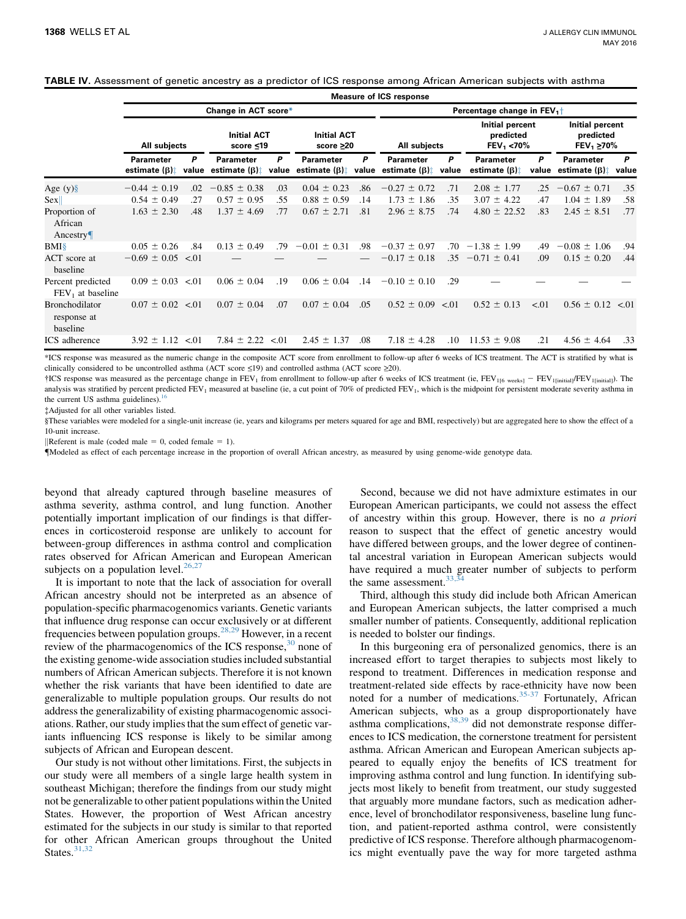<span id="page-6-0"></span>

|  |  |  | TABLE IV. Assessment of genetic ancestry as a predictor of ICS response among African American subjects with asthma |  |
|--|--|--|---------------------------------------------------------------------------------------------------------------------|--|
|  |  |  |                                                                                                                     |  |

|                                                  |                                   |                      |                                         |      |                                         | <b>Measure of ICS response</b>            |                                         |            |                                                |      |                                                       |            |
|--------------------------------------------------|-----------------------------------|----------------------|-----------------------------------------|------|-----------------------------------------|-------------------------------------------|-----------------------------------------|------------|------------------------------------------------|------|-------------------------------------------------------|------------|
|                                                  |                                   | Change in ACT score* |                                         |      |                                         | Percentage change in $FEV_1$ <sup>+</sup> |                                         |            |                                                |      |                                                       |            |
|                                                  | All subjects                      |                      | <b>Initial ACT</b><br>score ≤19         |      | <b>Initial ACT</b><br>score $\geq 20$   |                                           | All subjects                            |            | Initial percent<br>predicted<br>$FEV_1 < 70\%$ |      | Initial percent<br>predicted<br>FEV <sub>1</sub> ≥70% |            |
|                                                  | Parameter<br>estimate $(\beta)$ : | P                    | Parameter<br>value estimate $(\beta)$ : | P    | Parameter<br>value estimate $(\beta)$ : | P                                         | Parameter<br>value estimate $(\beta)$ : | P<br>value | Parameter<br>estimate $(\beta)$ :              | P    | <b>Parameter</b><br>value estimate $(\beta)$ :        | P<br>value |
| Age $(y)$ §                                      | $-0.44 \pm 0.19$                  | .02                  | $-0.85 \pm 0.38$                        | .03  | $0.04 \pm 0.23$                         | .86                                       | $-0.27 \pm 0.72$                        | .71        | $2.08 \pm$<br>1.77                             | .25  | $-0.67 \pm 0.71$                                      | .35        |
| Sex                                              | $0.54 \pm 0.49$                   | .27                  | $0.57 \pm 0.95$                         | .55  | $0.88 \pm 0.59$                         | .14                                       | $1.73 \pm 1.86$                         | .35        | $3.07 \pm 4.22$                                | .47  | $1.04 \pm 1.89$                                       | .58        |
| Proportion of<br>African<br>Ancestry             | $1.63 \pm 2.30$                   | .48                  | $1.37 \pm 4.69$                         | .77  | $0.67 \pm 2.71$                         | .81                                       | $2.96 \pm 8.75$                         | .74        | $4.80 \pm 22.52$                               | .83  | $2.45 \pm 8.51$                                       | .77        |
| $BMI\$                                           | $0.05 \pm 0.26$                   | .84                  | $0.13 \pm 0.49$                         | .79  | $-0.01 \pm 0.31$                        | .98                                       | $-0.37 \pm 0.97$                        | .70        | $-1.38 \pm 1.99$                               | .49  | $-0.08 \pm 1.06$                                      | .94        |
| ACT score at<br>baseline                         | $-0.69 \pm 0.05$                  | < 01                 |                                         |      |                                         |                                           | $-0.17 \pm 0.18$                        | .35        | $-0.71 \pm 0.41$                               | .09  | $0.15 \pm 0.20$                                       | .44        |
| Percent predicted<br>$FEV1$ at baseline          | $0.09 \pm 0.03$                   | < 01                 | $0.06 \pm 0.04$                         | .19  | $0.06 \pm 0.04$                         | .14                                       | $-0.10 \pm 0.10$                        | .29        |                                                |      |                                                       |            |
| <b>Bronchodilator</b><br>response at<br>baseline | $0.07 \pm 0.02$                   | < 01                 | $0.07 \pm 0.04$                         | .07  | $0.07 \pm 0.04$                         | .05                                       | $0.52 \pm 0.09$                         | < 01       | $0.52 \pm 0.13$                                | < 01 | $0.56 \pm 0.12$                                       | < 0.01     |
| <b>ICS</b> adherence                             | $3.92 \pm 1.12$                   | < 01                 | $7.84 \pm 2.22$                         | < 01 | $2.45 \pm 1.37$                         | .08                                       | $7.18 \pm 4.28$                         | .10        | $11.53 \pm 9.08$                               | .21  | $4.56 \pm 4.64$                                       | .33        |

\*ICS response was measured as the numeric change in the composite ACT score from enrollment to follow-up after 6 weeks of ICS treatment. The ACT is stratified by what is clinically considered to be uncontrolled asthma (ACT score  $\leq$ 19) and controlled asthma (ACT score  $\geq$ 20).

 $\dagger$ ICS response was measured as the percentage change in FEV<sub>1</sub> from enrollment to follow-up after 6 weeks of ICS treatment (ie, FEV<sub>1[6 weeks]</sub> - FEV<sub>1[initial]</sub>). The analysis was stratified by percent predicted FEV<sub>1</sub> measured at baseline (ie, a cut point of 70% of predicted FEV<sub>1</sub>, which is the midpoint for persistent moderate severity asthma in the current US asthma guidelines). $\frac{1}{10}$ 

Adjusted for all other variables listed.

§These variables were modeled for a single-unit increase (ie, years and kilograms per meters squared for age and BMI, respectively) but are aggregated here to show the effect of a 10-unit increase.

Referent is male (coded male  $= 0$ , coded female  $= 1$ ).

{Modeled as effect of each percentage increase in the proportion of overall African ancestry, as measured by using genome-wide genotype data.

beyond that already captured through baseline measures of asthma severity, asthma control, and lung function. Another potentially important implication of our findings is that differences in corticosteroid response are unlikely to account for between-group differences in asthma control and complication rates observed for African American and European American subjects on a population level. $26,27$ 

It is important to note that the lack of association for overall African ancestry should not be interpreted as an absence of population-specific pharmacogenomics variants. Genetic variants that influence drug response can occur exclusively or at different frequencies between population groups.[28,29](#page-7-0) However, in a recent review of the pharmacogenomics of the ICS response, $30$  none of the existing genome-wide association studies included substantial numbers of African American subjects. Therefore it is not known whether the risk variants that have been identified to date are generalizable to multiple population groups. Our results do not address the generalizability of existing pharmacogenomic associations. Rather, our study implies that the sum effect of genetic variants influencing ICS response is likely to be similar among subjects of African and European descent.

Our study is not without other limitations. First, the subjects in our study were all members of a single large health system in southeast Michigan; therefore the findings from our study might not be generalizable to other patient populations within the United States. However, the proportion of West African ancestry estimated for the subjects in our study is similar to that reported for other African American groups throughout the United States. $31,32$ 

Second, because we did not have admixture estimates in our European American participants, we could not assess the effect of ancestry within this group. However, there is no a priori reason to suspect that the effect of genetic ancestry would have differed between groups, and the lower degree of continental ancestral variation in European American subjects would have required a much greater number of subjects to perform the same assessment.  $33,34$ 

Third, although this study did include both African American and European American subjects, the latter comprised a much smaller number of patients. Consequently, additional replication is needed to bolster our findings.

In this burgeoning era of personalized genomics, there is an increased effort to target therapies to subjects most likely to respond to treatment. Differences in medication response and treatment-related side effects by race-ethnicity have now been noted for a number of medications.<sup>[35-37](#page-7-0)</sup> Fortunately, African American subjects, who as a group disproportionately have asthma complications,  $38,39$  did not demonstrate response differences to ICS medication, the cornerstone treatment for persistent asthma. African American and European American subjects appeared to equally enjoy the benefits of ICS treatment for improving asthma control and lung function. In identifying subjects most likely to benefit from treatment, our study suggested that arguably more mundane factors, such as medication adherence, level of bronchodilator responsiveness, baseline lung function, and patient-reported asthma control, were consistently predictive of ICS response. Therefore although pharmacogenomics might eventually pave the way for more targeted asthma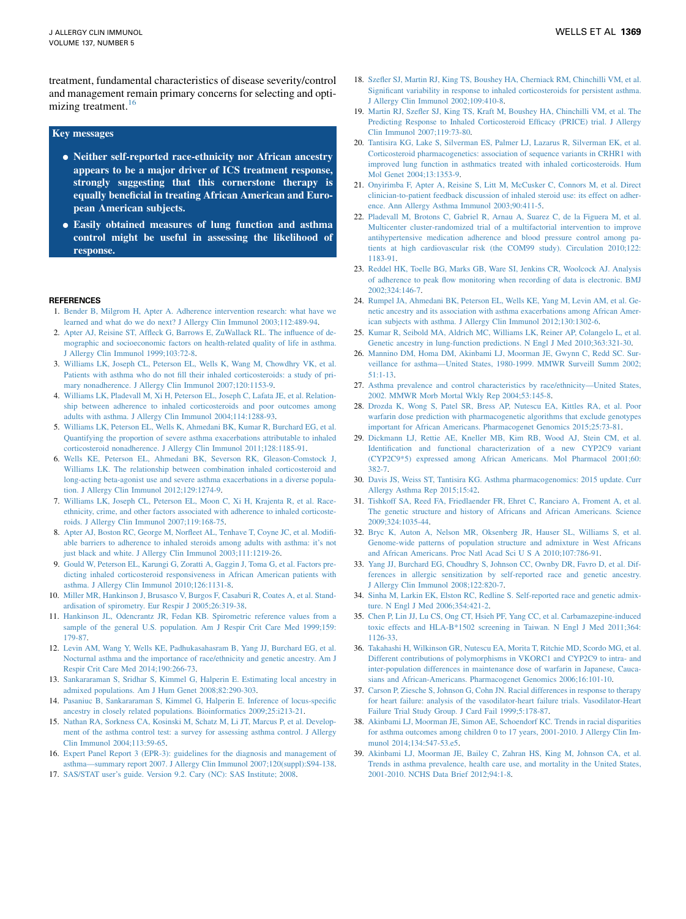<span id="page-7-0"></span>treatment, fundamental characteristics of disease severity/control and management remain primary concerns for selecting and optimizing treatment.<sup>16</sup>

#### Key messages

- Neither self-reported race-ethnicity nor African ancestry appears to be a major driver of ICS treatment response, strongly suggesting that this cornerstone therapy is equally beneficial in treating African American and European American subjects.
- <sup>d</sup> Easily obtained measures of lung function and asthma control might be useful in assessing the likelihood of response.

#### **REFERENCES**

- 1. [Bender B, Milgrom H, Apter A. Adherence intervention research: what have we](http://refhub.elsevier.com/S0091-6749(16)00253-0/sref1) [learned and what do we do next? J Allergy Clin Immunol 2003;112:489-94.](http://refhub.elsevier.com/S0091-6749(16)00253-0/sref1)
- 2. [Apter AJ, Reisine ST, Affleck G, Barrows E, ZuWallack RL. The influence of de](http://refhub.elsevier.com/S0091-6749(16)00253-0/sref2)[mographic and socioeconomic factors on health-related quality of life in asthma.](http://refhub.elsevier.com/S0091-6749(16)00253-0/sref2) [J Allergy Clin Immunol 1999;103:72-8](http://refhub.elsevier.com/S0091-6749(16)00253-0/sref2).
- 3. [Williams LK, Joseph CL, Peterson EL, Wells K, Wang M, Chowdhry VK, et al.](http://refhub.elsevier.com/S0091-6749(16)00253-0/sref3) [Patients with asthma who do not fill their inhaled corticosteroids: a study of pri](http://refhub.elsevier.com/S0091-6749(16)00253-0/sref3)[mary nonadherence. J Allergy Clin Immunol 2007;120:1153-9](http://refhub.elsevier.com/S0091-6749(16)00253-0/sref3).
- 4. [Williams LK, Pladevall M, Xi H, Peterson EL, Joseph C, Lafata JE, et al. Relation](http://refhub.elsevier.com/S0091-6749(16)00253-0/sref4)[ship between adherence to inhaled corticosteroids and poor outcomes among](http://refhub.elsevier.com/S0091-6749(16)00253-0/sref4) [adults with asthma. J Allergy Clin Immunol 2004;114:1288-93](http://refhub.elsevier.com/S0091-6749(16)00253-0/sref4).
- 5. [Williams LK, Peterson EL, Wells K, Ahmedani BK, Kumar R, Burchard EG, et al.](http://refhub.elsevier.com/S0091-6749(16)00253-0/sref5) [Quantifying the proportion of severe asthma exacerbations attributable to inhaled](http://refhub.elsevier.com/S0091-6749(16)00253-0/sref5) [corticosteroid nonadherence. J Allergy Clin Immunol 2011;128:1185-91.](http://refhub.elsevier.com/S0091-6749(16)00253-0/sref5)
- 6. [Wells KE, Peterson EL, Ahmedani BK, Severson RK, Gleason-Comstock J,](http://refhub.elsevier.com/S0091-6749(16)00253-0/sref6) [Williams LK. The relationship between combination inhaled corticosteroid and](http://refhub.elsevier.com/S0091-6749(16)00253-0/sref6) [long-acting beta-agonist use and severe asthma exacerbations in a diverse popula](http://refhub.elsevier.com/S0091-6749(16)00253-0/sref6)[tion. J Allergy Clin Immunol 2012;129:1274-9](http://refhub.elsevier.com/S0091-6749(16)00253-0/sref6).
- 7. [Williams LK, Joseph CL, Peterson EL, Moon C, Xi H, Krajenta R, et al. Race](http://refhub.elsevier.com/S0091-6749(16)00253-0/sref7)[ethnicity, crime, and other factors associated with adherence to inhaled corticoste](http://refhub.elsevier.com/S0091-6749(16)00253-0/sref7)[roids. J Allergy Clin Immunol 2007;119:168-75](http://refhub.elsevier.com/S0091-6749(16)00253-0/sref7).
- 8. [Apter AJ, Boston RC, George M, Norfleet AL, Tenhave T, Coyne JC, et al. Modifi](http://refhub.elsevier.com/S0091-6749(16)00253-0/sref8)[able barriers to adherence to inhaled steroids among adults with asthma: it's not](http://refhub.elsevier.com/S0091-6749(16)00253-0/sref8) [just black and white. J Allergy Clin Immunol 2003;111:1219-26.](http://refhub.elsevier.com/S0091-6749(16)00253-0/sref8)
- 9. [Gould W, Peterson EL, Karungi G, Zoratti A, Gaggin J, Toma G, et al. Factors pre](http://refhub.elsevier.com/S0091-6749(16)00253-0/sref9)[dicting inhaled corticosteroid responsiveness in African American patients with](http://refhub.elsevier.com/S0091-6749(16)00253-0/sref9) [asthma. J Allergy Clin Immunol 2010;126:1131-8](http://refhub.elsevier.com/S0091-6749(16)00253-0/sref9).
- 10. [Miller MR, Hankinson J, Brusasco V, Burgos F, Casaburi R, Coates A, et al. Stand](http://refhub.elsevier.com/S0091-6749(16)00253-0/sref10)[ardisation of spirometry. Eur Respir J 2005;26:319-38.](http://refhub.elsevier.com/S0091-6749(16)00253-0/sref10)
- 11. [Hankinson JL, Odencrantz JR, Fedan KB. Spirometric reference values from a](http://refhub.elsevier.com/S0091-6749(16)00253-0/sref11) [sample of the general U.S. population. Am J Respir Crit Care Med 1999;159:](http://refhub.elsevier.com/S0091-6749(16)00253-0/sref11) [179-87.](http://refhub.elsevier.com/S0091-6749(16)00253-0/sref11)
- 12. [Levin AM, Wang Y, Wells KE, Padhukasahasram B, Yang JJ, Burchard EG, et al.](http://refhub.elsevier.com/S0091-6749(16)00253-0/sref12) [Nocturnal asthma and the importance of race/ethnicity and genetic ancestry. Am J](http://refhub.elsevier.com/S0091-6749(16)00253-0/sref12) [Respir Crit Care Med 2014;190:266-73.](http://refhub.elsevier.com/S0091-6749(16)00253-0/sref12)
- 13. [Sankararaman S, Sridhar S, Kimmel G, Halperin E. Estimating local ancestry in](http://refhub.elsevier.com/S0091-6749(16)00253-0/sref13) [admixed populations. Am J Hum Genet 2008;82:290-303](http://refhub.elsevier.com/S0091-6749(16)00253-0/sref13).
- 14. [Pasaniuc B, Sankararaman S, Kimmel G, Halperin E. Inference of locus-specific](http://refhub.elsevier.com/S0091-6749(16)00253-0/sref14) [ancestry in closely related populations. Bioinformatics 2009;25:i213-21.](http://refhub.elsevier.com/S0091-6749(16)00253-0/sref14)
- 15. [Nathan RA, Sorkness CA, Kosinski M, Schatz M, Li JT, Marcus P, et al. Develop](http://refhub.elsevier.com/S0091-6749(16)00253-0/sref15)[ment of the asthma control test: a survey for assessing asthma control. J Allergy](http://refhub.elsevier.com/S0091-6749(16)00253-0/sref15) [Clin Immunol 2004;113:59-65](http://refhub.elsevier.com/S0091-6749(16)00253-0/sref15).
- 16. [Expert Panel Report 3 \(EPR-3\): guidelines for the diagnosis and management of](http://refhub.elsevier.com/S0091-6749(16)00253-0/sref16) [asthma—summary report 2007. J Allergy Clin Immunol 2007;120\(suppl\):S94-138](http://refhub.elsevier.com/S0091-6749(16)00253-0/sref16).
- 17. [SAS/STAT user's guide. Version 9.2. Cary \(NC\): SAS Institute; 2008](http://refhub.elsevier.com/S0091-6749(16)00253-0/sref17).
- 18. [Szefler SJ, Martin RJ, King TS, Boushey HA, Cherniack RM, Chinchilli VM, et al.](http://refhub.elsevier.com/S0091-6749(16)00253-0/sref18) [Significant variability in response to inhaled corticosteroids for persistent asthma.](http://refhub.elsevier.com/S0091-6749(16)00253-0/sref18) [J Allergy Clin Immunol 2002;109:410-8](http://refhub.elsevier.com/S0091-6749(16)00253-0/sref18).
- 19. [Martin RJ, Szefler SJ, King TS, Kraft M, Boushey HA, Chinchilli VM, et al. The](http://refhub.elsevier.com/S0091-6749(16)00253-0/sref19) [Predicting Response to Inhaled Corticosteroid Efficacy \(PRICE\) trial. J Allergy](http://refhub.elsevier.com/S0091-6749(16)00253-0/sref19) [Clin Immunol 2007;119:73-80](http://refhub.elsevier.com/S0091-6749(16)00253-0/sref19).
- 20. [Tantisira KG, Lake S, Silverman ES, Palmer LJ, Lazarus R, Silverman EK, et al.](http://refhub.elsevier.com/S0091-6749(16)00253-0/sref20) [Corticosteroid pharmacogenetics: association of sequence variants in CRHR1 with](http://refhub.elsevier.com/S0091-6749(16)00253-0/sref20) [improved lung function in asthmatics treated with inhaled corticosteroids. Hum](http://refhub.elsevier.com/S0091-6749(16)00253-0/sref20) [Mol Genet 2004;13:1353-9.](http://refhub.elsevier.com/S0091-6749(16)00253-0/sref20)
- 21. [Onyirimba F, Apter A, Reisine S, Litt M, McCusker C, Connors M, et al. Direct](http://refhub.elsevier.com/S0091-6749(16)00253-0/sref21) [clinician-to-patient feedback discussion of inhaled steroid use: its effect on adher](http://refhub.elsevier.com/S0091-6749(16)00253-0/sref21)[ence. Ann Allergy Asthma Immunol 2003;90:411-5](http://refhub.elsevier.com/S0091-6749(16)00253-0/sref21).
- 22. [Pladevall M, Brotons C, Gabriel R, Arnau A, Suarez C, de la Figuera M, et al.](http://refhub.elsevier.com/S0091-6749(16)00253-0/sref22) [Multicenter cluster-randomized trial of a multifactorial intervention to improve](http://refhub.elsevier.com/S0091-6749(16)00253-0/sref22) [antihypertensive medication adherence and blood pressure control among pa](http://refhub.elsevier.com/S0091-6749(16)00253-0/sref22)[tients at high cardiovascular risk \(the COM99 study\). Circulation 2010;122:](http://refhub.elsevier.com/S0091-6749(16)00253-0/sref22) [1183-91](http://refhub.elsevier.com/S0091-6749(16)00253-0/sref22).
- 23. [Reddel HK, Toelle BG, Marks GB, Ware SI, Jenkins CR, Woolcock AJ. Analysis](http://refhub.elsevier.com/S0091-6749(16)00253-0/sref23) [of adherence to peak flow monitoring when recording of data is electronic. BMJ](http://refhub.elsevier.com/S0091-6749(16)00253-0/sref23) [2002;324:146-7.](http://refhub.elsevier.com/S0091-6749(16)00253-0/sref23)
- 24. [Rumpel JA, Ahmedani BK, Peterson EL, Wells KE, Yang M, Levin AM, et al. Ge](http://refhub.elsevier.com/S0091-6749(16)00253-0/sref24)[netic ancestry and its association with asthma exacerbations among African Amer](http://refhub.elsevier.com/S0091-6749(16)00253-0/sref24)[ican subjects with asthma. J Allergy Clin Immunol 2012;130:1302-6](http://refhub.elsevier.com/S0091-6749(16)00253-0/sref24).
- 25. Kumar [R, Seibold MA, Aldrich MC, Williams LK, Reiner AP, Colangelo L, et al.](http://refhub.elsevier.com/S0091-6749(16)00253-0/sref25) [Genetic ancestry in lung-function predictions. N Engl J Med 2010;363:321-30](http://refhub.elsevier.com/S0091-6749(16)00253-0/sref25).
- 26. [Mannino DM, Homa DM, Akinbami LJ, Moorman JE, Gwynn C, Redd SC. Sur](http://refhub.elsevier.com/S0091-6749(16)00253-0/sref26)[veillance for asthma—United States, 1980-1999. MMWR Surveill Summ 2002;](http://refhub.elsevier.com/S0091-6749(16)00253-0/sref26) [51:1-13.](http://refhub.elsevier.com/S0091-6749(16)00253-0/sref26)
- 27. [Asthma prevalence and control characteristics by race/ethnicity—United States,](http://refhub.elsevier.com/S0091-6749(16)00253-0/sref27) [2002. MMWR Morb Mortal Wkly Rep 2004;53:145-8.](http://refhub.elsevier.com/S0091-6749(16)00253-0/sref27)
- 28. [Drozda K, Wong S, Patel SR, Bress AP, Nutescu EA, Kittles RA, et al. Poor](http://refhub.elsevier.com/S0091-6749(16)00253-0/sref28) [warfarin dose prediction with pharmacogenetic algorithms that exclude genotypes](http://refhub.elsevier.com/S0091-6749(16)00253-0/sref28) [important for African Americans. Pharmacogenet Genomics 2015;25:73-81.](http://refhub.elsevier.com/S0091-6749(16)00253-0/sref28)
- 29. [Dickmann LJ, Rettie AE, Kneller MB, Kim RB, Wood AJ, Stein CM, et al.](http://refhub.elsevier.com/S0091-6749(16)00253-0/sref29) [Identification and functional characterization of a new CYP2C9 variant](http://refhub.elsevier.com/S0091-6749(16)00253-0/sref29) [\(CYP2C9\\*5\) expressed among African Americans. Mol Pharmacol 2001;60:](http://refhub.elsevier.com/S0091-6749(16)00253-0/sref29) [382-7](http://refhub.elsevier.com/S0091-6749(16)00253-0/sref29).
- 30. [Davis JS, Weiss ST, Tantisira KG. Asthma pharmacogenomics: 2015 update. Curr](http://refhub.elsevier.com/S0091-6749(16)00253-0/sref30) [Allergy Asthma Rep 2015;15:42](http://refhub.elsevier.com/S0091-6749(16)00253-0/sref30).
- 31. [Tishkoff SA, Reed FA, Friedlaender FR, Ehret C, Ranciaro A, Froment A, et al.](http://refhub.elsevier.com/S0091-6749(16)00253-0/sref31) [The genetic structure and history of Africans and African Americans. Science](http://refhub.elsevier.com/S0091-6749(16)00253-0/sref31) [2009;324:1035-44.](http://refhub.elsevier.com/S0091-6749(16)00253-0/sref31)
- 32. [Bryc K, Auton A, Nelson MR, Oksenberg JR, Hauser SL, Williams S, et al.](http://refhub.elsevier.com/S0091-6749(16)00253-0/sref32) [Genome-wide patterns of population structure and admixture in West Africans](http://refhub.elsevier.com/S0091-6749(16)00253-0/sref32) [and African Americans. Proc Natl Acad Sci U S A 2010;107:786-91](http://refhub.elsevier.com/S0091-6749(16)00253-0/sref32).
- 33. [Yang JJ, Burchard EG, Choudhry S, Johnson CC, Ownby DR, Favro D, et al. Dif](http://refhub.elsevier.com/S0091-6749(16)00253-0/sref33)[ferences in allergic sensitization by self-reported race and genetic ancestry.](http://refhub.elsevier.com/S0091-6749(16)00253-0/sref33) [J Allergy Clin Immunol 2008;122:820-7](http://refhub.elsevier.com/S0091-6749(16)00253-0/sref33).
- 34. [Sinha M, Larkin EK, Elston RC, Redline S. Self-reported race and genetic admix](http://refhub.elsevier.com/S0091-6749(16)00253-0/sref34)[ture. N Engl J Med 2006;354:421-2.](http://refhub.elsevier.com/S0091-6749(16)00253-0/sref34)
- 35. [Chen P, Lin JJ, Lu CS, Ong CT, Hsieh PF, Yang CC, et al. Carbamazepine-induced](http://refhub.elsevier.com/S0091-6749(16)00253-0/sref35) [toxic effects and HLA-B\\*1502 screening in Taiwan. N Engl J Med 2011;364:](http://refhub.elsevier.com/S0091-6749(16)00253-0/sref35) [1126-33](http://refhub.elsevier.com/S0091-6749(16)00253-0/sref35).
- 36. [Takahashi H, Wilkinson GR, Nutescu EA, Morita T, Ritchie MD, Scordo MG, et al.](http://refhub.elsevier.com/S0091-6749(16)00253-0/sref36) [Different contributions of polymorphisms in VKORC1 and CYP2C9 to intra- and](http://refhub.elsevier.com/S0091-6749(16)00253-0/sref36) [inter-population differences in maintenance dose of warfarin in Japanese, Cauca](http://refhub.elsevier.com/S0091-6749(16)00253-0/sref36)[sians and African-Americans. Pharmacogenet Genomics 2006;16:101-10.](http://refhub.elsevier.com/S0091-6749(16)00253-0/sref36)
- 37. [Carson P, Ziesche S, Johnson G, Cohn JN. Racial differences in response to therapy](http://refhub.elsevier.com/S0091-6749(16)00253-0/sref37) [for heart failure: analysis of the vasodilator-heart failure trials. Vasodilator-Heart](http://refhub.elsevier.com/S0091-6749(16)00253-0/sref37) [Failure Trial Study Group. J Card Fail 1999;5:178-87.](http://refhub.elsevier.com/S0091-6749(16)00253-0/sref37)
- 38. [Akinbami LJ, Moorman JE, Simon AE, Schoendorf KC. Trends in racial disparities](http://refhub.elsevier.com/S0091-6749(16)00253-0/sref38) [for asthma outcomes among children 0 to 17 years, 2001-2010. J Allergy Clin Im](http://refhub.elsevier.com/S0091-6749(16)00253-0/sref38)munol 2014;134;547-53.e5.
- 39. [Akinbami LJ, Moorman JE, Bailey C, Zahran HS, King M, Johnson CA, et al.](http://refhub.elsevier.com/S0091-6749(16)00253-0/sref39) [Trends in asthma prevalence, health care use, and mortality in the United States,](http://refhub.elsevier.com/S0091-6749(16)00253-0/sref39) [2001-2010. NCHS Data Brief 2012;94:1-8.](http://refhub.elsevier.com/S0091-6749(16)00253-0/sref39)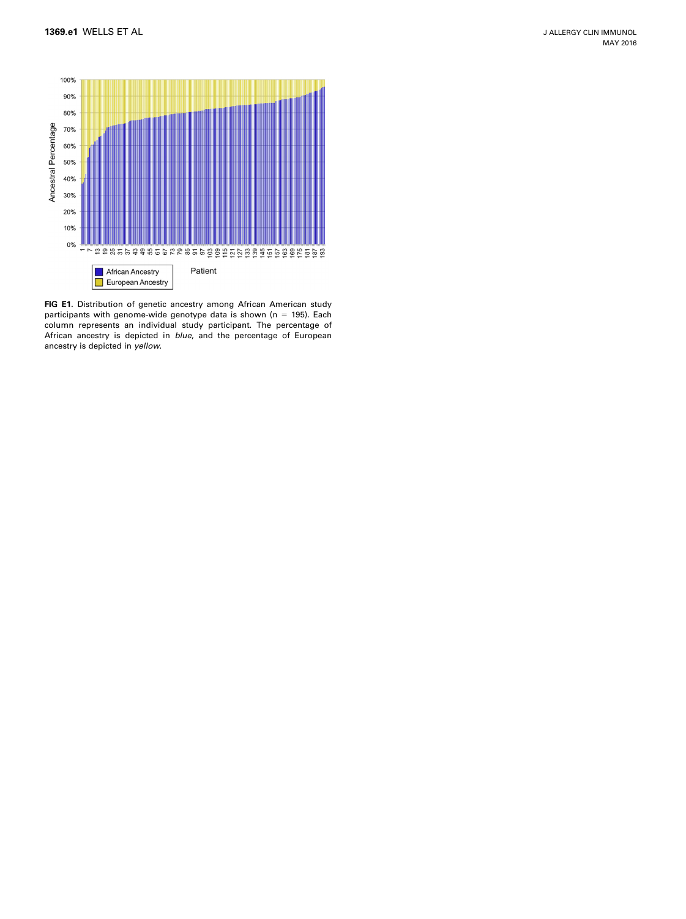<span id="page-8-0"></span>

FIG E1. Distribution of genetic ancestry among African American study participants with genome-wide genotype data is shown ( $n = 195$ ). Each column represents an individual study participant. The percentage of African ancestry is depicted in blue, and the percentage of European ancestry is depicted in yellow.